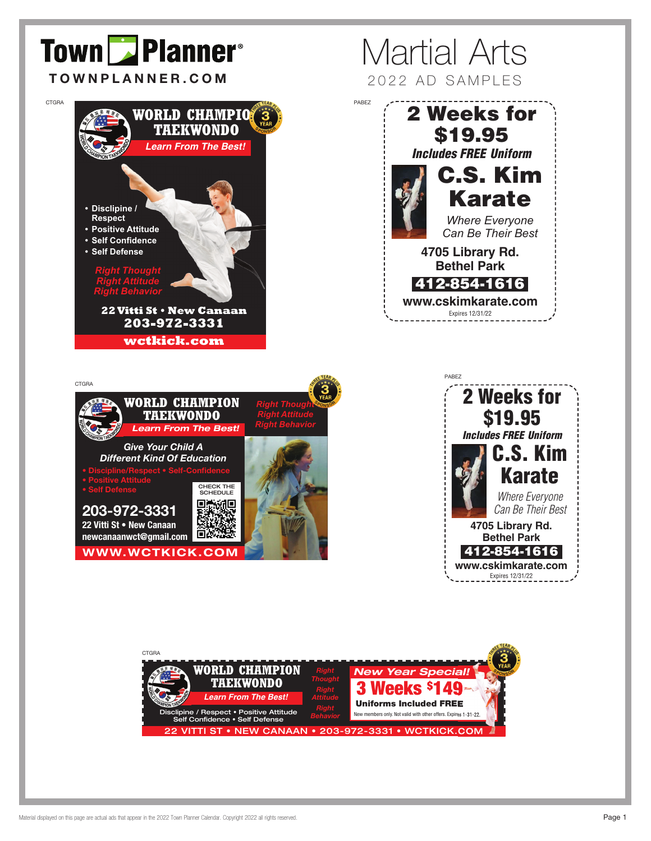